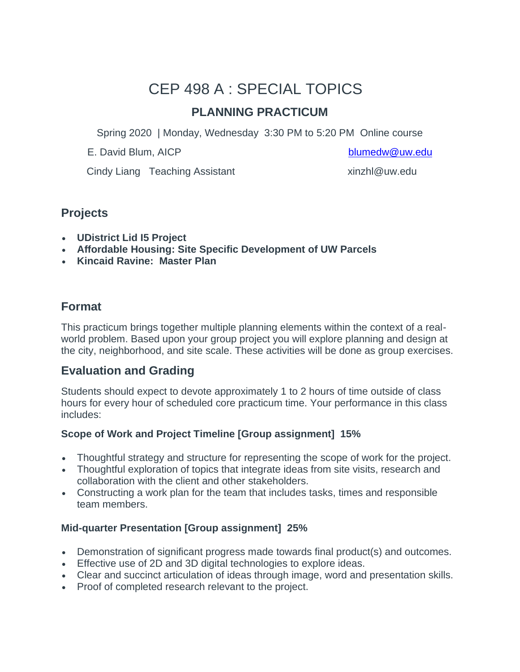# CEP 498 A : SPECIAL TOPICS

# **PLANNING PRACTICUM**

Spring 2020 | Monday, Wednesday 3:30 PM to 5:20 PM Online course

E. David Blum, AICP [blumedw@uw.edu](mailto:blumedw@uw.edu)

Cindy Liang Teaching Assistant The Cindy Liang Teaching Assistant

### **Projects**

- **UDistrict Lid I5 Project**
- **Affordable Housing: Site Specific Development of UW Parcels**
- **Kincaid Ravine: Master Plan**

# **Format**

This practicum brings together multiple planning elements within the context of a realworld problem. Based upon your group project you will explore planning and design at the city, neighborhood, and site scale. These activities will be done as group exercises.

# **Evaluation and Grading**

Students should expect to devote approximately 1 to 2 hours of time outside of class hours for every hour of scheduled core practicum time. Your performance in this class includes:

### **Scope of Work and Project Timeline [Group assignment] 15%**

- Thoughtful strategy and structure for representing the scope of work for the project.
- Thoughtful exploration of topics that integrate ideas from site visits, research and collaboration with the client and other stakeholders.
- Constructing a work plan for the team that includes tasks, times and responsible team members.

### **Mid-quarter Presentation [Group assignment] 25%**

- Demonstration of significant progress made towards final product(s) and outcomes.
- Effective use of 2D and 3D digital technologies to explore ideas.
- Clear and succinct articulation of ideas through image, word and presentation skills.
- Proof of completed research relevant to the project.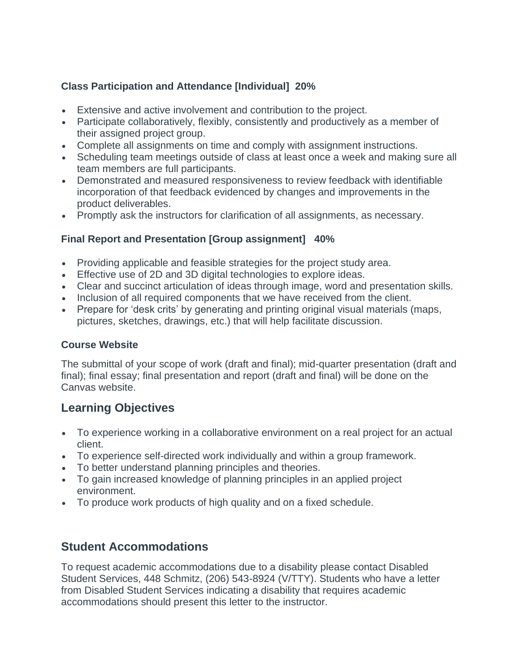### **Class Participation and Attendance [Individual] 20%**

- Extensive and active involvement and contribution to the project.
- Participate collaboratively, flexibly, consistently and productively as a member of their assigned project group.
- Complete all assignments on time and comply with assignment instructions.
- Scheduling team meetings outside of class at least once a week and making sure all team members are full participants.
- Demonstrated and measured responsiveness to review feedback with identifiable incorporation of that feedback evidenced by changes and improvements in the product deliverables.
- Promptly ask the instructors for clarification of all assignments, as necessary.

### **Final Report and Presentation [Group assignment] 40%**

- Providing applicable and feasible strategies for the project study area.
- Effective use of 2D and 3D digital technologies to explore ideas.
- Clear and succinct articulation of ideas through image, word and presentation skills.
- Inclusion of all required components that we have received from the client.
- Prepare for 'desk crits' by generating and printing original visual materials (maps, pictures, sketches, drawings, etc.) that will help facilitate discussion.

### **Course Website**

The submittal of your scope of work (draft and final); mid-quarter presentation (draft and final); final essay; final presentation and report (draft and final) will be done on the Canvas website.

# **Learning Objectives**

- To experience working in a collaborative environment on a real project for an actual client.
- To experience self-directed work individually and within a group framework.
- To better understand planning principles and theories.
- To gain increased knowledge of planning principles in an applied project environment.
- To produce work products of high quality and on a fixed schedule.

# **Student Accommodations**

To request academic accommodations due to a disability please contact Disabled Student Services, 448 Schmitz, (206) 543-8924 (V/TTY). Students who have a letter from Disabled Student Services indicating a disability that requires academic accommodations should present this letter to the instructor.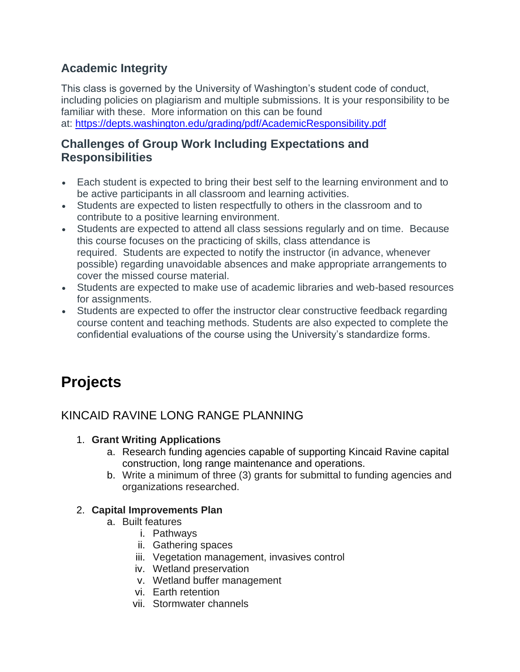# **Academic Integrity**

This class is governed by the University of Washington's student code of conduct, including policies on plagiarism and multiple submissions. It is your responsibility to be familiar with these. More information on this can be found at: <https://depts.washington.edu/grading/pdf/AcademicResponsibility.pdf>

# **Challenges of Group Work Including Expectations and Responsibilities**

- Each student is expected to bring their best self to the learning environment and to be active participants in all classroom and learning activities.
- Students are expected to listen respectfully to others in the classroom and to contribute to a positive learning environment.
- Students are expected to attend all class sessions regularly and on time. Because this course focuses on the practicing of skills, class attendance is required. Students are expected to notify the instructor (in advance, whenever possible) regarding unavoidable absences and make appropriate arrangements to cover the missed course material.
- Students are expected to make use of academic libraries and web-based resources for assignments.
- Students are expected to offer the instructor clear constructive feedback regarding course content and teaching methods. Students are also expected to complete the confidential evaluations of the course using the University's standardize forms.

# **Projects**

# KINCAID RAVINE LONG RANGE PLANNING

### 1. **Grant Writing Applications**

- a. Research funding agencies capable of supporting Kincaid Ravine capital construction, long range maintenance and operations.
- b. Write a minimum of three (3) grants for submittal to funding agencies and organizations researched.

### 2. **Capital Improvements Plan**

- a. Built features
	- i. Pathways
	- ii. Gathering spaces
	- iii. Vegetation management, invasives control
	- iv. Wetland preservation
	- v. Wetland buffer management
	- vi. Earth retention
	- vii. Stormwater channels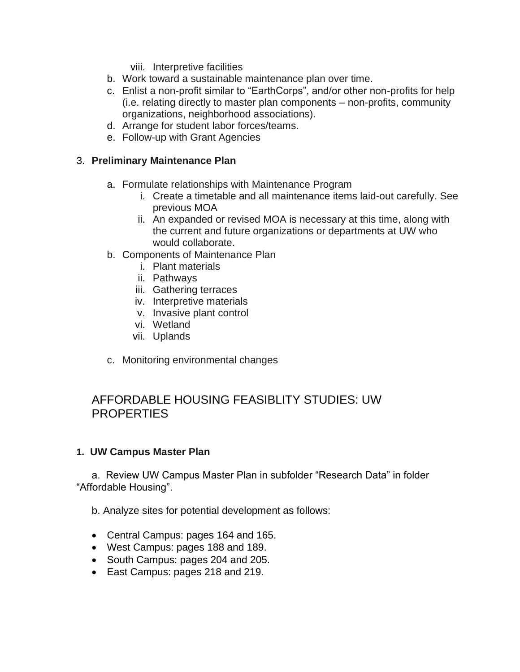viii. Interpretive facilities

- b. Work toward a sustainable maintenance plan over time.
- c. Enlist a non-profit similar to "EarthCorps", and/or other non-profits for help (i.e. relating directly to master plan components – non-profits, community organizations, neighborhood associations).
- d. Arrange for student labor forces/teams.
- e. Follow-up with Grant Agencies

#### 3. **Preliminary Maintenance Plan**

- a. Formulate relationships with Maintenance Program
	- i. Create a timetable and all maintenance items laid-out carefully. See previous MOA
	- ii. An expanded or revised MOA is necessary at this time, along with the current and future organizations or departments at UW who would collaborate.
- b. Components of Maintenance Plan
	- i. Plant materials
	- ii. Pathways
	- iii. Gathering terraces
	- iv. Interpretive materials
	- v. Invasive plant control
	- vi. Wetland
	- vii. Uplands
- c. Monitoring environmental changes

### AFFORDABLE HOUSING FEASIBLITY STUDIES: UW **PROPERTIES**

#### **1. UW Campus Master Plan**

a. Review UW Campus Master Plan in subfolder "Research Data" in folder "Affordable Housing".

b. Analyze sites for potential development as follows:

- Central Campus: pages 164 and 165.
- West Campus: pages 188 and 189.
- South Campus: pages 204 and 205.
- East Campus: pages 218 and 219.